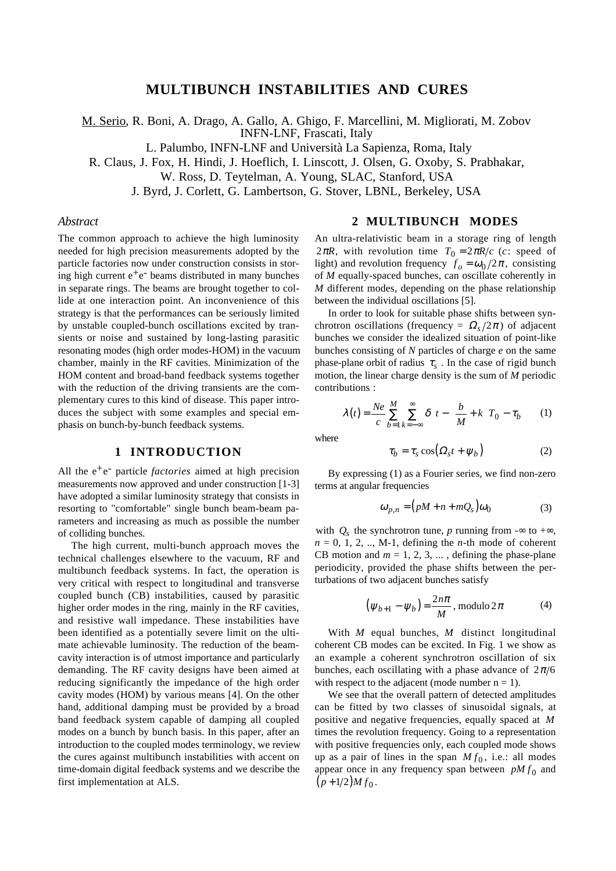# **MULTIBUNCH INSTABILITIES AND CURES**

M. Serio, R. Boni, A. Drago, A. Gallo, A. Ghigo, F. Marcellini, M. Migliorati, M. Zobov INFN-LNF, Frascati, Italy

L. Palumbo, INFN-LNF and Università La Sapienza, Roma, Italy

R. Claus, J. Fox, H. Hindi, J. Hoeflich, I. Linscott, J. Olsen, G. Oxoby, S. Prabhakar,

W. Ross, D. Teytelman, A. Young, SLAC, Stanford, USA

J. Byrd, J. Corlett, G. Lambertson, G. Stover, LBNL, Berkeley, USA

## *Abstract*

The common approach to achieve the high luminosity needed for high precision measurements adopted by the particle factories now under construction consists in storing high current  $e^+e^-$  beams distributed in many bunches in separate rings. The beams are brought together to collide at one interaction point. An inconvenience of this strategy is that the performances can be seriously limited by unstable coupled-bunch oscillations excited by transients or noise and sustained by long-lasting parasitic resonating modes (high order modes-HOM) in the vacuum chamber, mainly in the RF cavities. Minimization of the HOM content and broad-band feedback systems together with the reduction of the driving transients are the complementary cures to this kind of disease. This paper introduces the subject with some examples and special emphasis on bunch-by-bunch feedback systems.

# **1 INTRODUCTION**

All the e<sup>+</sup>e<sup>-</sup> particle *factories* aimed at high precision measurements now approved and under construction [1-3] have adopted a similar luminosity strategy that consists in resorting to "comfortable" single bunch beam-beam parameters and increasing as much as possible the number of colliding bunches.

The high current, multi-bunch approach moves the technical challenges elsewhere to the vacuum, RF and multibunch feedback systems. In fact, the operation is very critical with respect to longitudinal and transverse coupled bunch (CB) instabilities, caused by parasitic higher order modes in the ring, mainly in the RF cavities, and resistive wall impedance. These instabilities have been identified as a potentially severe limit on the ultimate achievable luminosity. The reduction of the beamcavity interaction is of utmost importance and particularly demanding. The RF cavity designs have been aimed at reducing significantly the impedance of the high order cavity modes (HOM) by various means [4]. On the other hand, additional damping must be provided by a broad band feedback system capable of damping all coupled modes on a bunch by bunch basis. In this paper, after an introduction to the coupled modes terminology, we review the cures against multibunch instabilities with accent on time-domain digital feedback systems and we describe the first implementation at ALS.

## **2 MULTIBUNCH MODES**

An ultra-relativistic beam in a storage ring of length 2π*R*, with revolution time  $T_0 = 2\pi R/c$  (*c*: speed of light) and revolution frequency  $f_0 = \omega_0 / 2\pi$ , consisting of *M* equally-spaced bunches, can oscillate coherently in *M* different modes, depending on the phase relationship between the individual oscillations [5].

In order to look for suitable phase shifts between synchrotron oscillations (frequency =  $\Omega_s/2\pi$ ) of adjacent bunches we consider the idealized situation of point-like bunches consisting of *N* particles of charge *e* on the same phase-plane orbit of radius  $\tau_s$ . In the case of rigid bunch motion, the linear charge density is the sum of *M* periodic contributions :

$$
\lambda(t) = \frac{Ne}{c} \sum_{b=1}^{M} \sum_{k=-\infty}^{\infty} \delta \left[ t - \left( \frac{b}{M} + k \right) T_0 - \tau_b \right]
$$
 (1)

where

$$
\tau_b = \tau_s \cos(\Omega_s t + \psi_b) \tag{2}
$$

By expressing (1) as a Fourier series, we find non-zero terms at angular frequencies

$$
\omega_{p,n} = (pM + n + mQ_s)\omega_0 \tag{3}
$$

with  $Q_s$  the synchrotron tune, *p* running from  $-\infty$  to  $+\infty$ ,  $n = 0, 1, 2, \ldots$ , M-1, defining the *n*-th mode of coherent CB motion and  $m = 1, 2, 3, \dots$ , defining the phase-plane periodicity, provided the phase shifts between the perturbations of two adjacent bunches satisfy

$$
\left(\psi_{b+1} - \psi_b\right) = \frac{2n\pi}{M}, \text{ modulo } 2\pi \tag{4}
$$

With *M* equal bunches, *M* distinct longitudinal coherent CB modes can be excited. In Fig. 1 we show as an example a coherent synchrotron oscillation of six bunches, each oscillating with a phase advance of  $2\pi/6$ with respect to the adjacent (mode number  $n = 1$ ).

We see that the overall pattern of detected amplitudes can be fitted by two classes of sinusoidal signals, at positive and negative frequencies, equally spaced at *M* times the revolution frequency. Going to a representation with positive frequencies only, each coupled mode shows up as a pair of lines in the span  $M f_0$ , i.e.: all modes appear once in any frequency span between  $pMf_0$  and  $(p+1/2)Mf_0$ .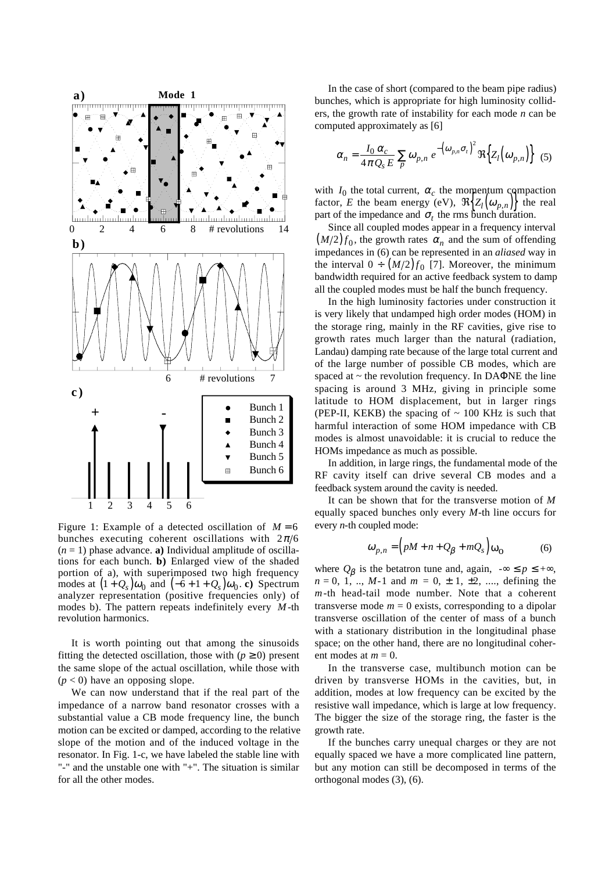

Figure 1: Example of a detected oscillation of  $M = 6$ bunches executing coherent oscillations with  $2\pi/6$  $(n = 1)$  phase advance. **a**) Individual amplitude of oscillations for each bunch. **b)** Enlarged view of the shaded portion of a), with superimposed two high frequency modes at  $(1 + Q_s)\omega_0$  and  $(-6 + 1 + Q_s)\omega_0$ . **c**) Spectrum analyzer representation (positive frequencies only) of modes b). The pattern repeats indefinitely every *M* -th revolution harmonics.

It is worth pointing out that among the sinusoids fitting the detected oscillation, those with  $(p \ge 0)$  present the same slope of the actual oscillation, while those with  $(p < 0)$  have an opposing slope.

We can now understand that if the real part of the impedance of a narrow band resonator crosses with a substantial value a CB mode frequency line, the bunch motion can be excited or damped, according to the relative slope of the motion and of the induced voltage in the resonator. In Fig. 1-c, we have labeled the stable line with "-" and the unstable one with "+". The situation is similar for all the other modes.

In the case of short (compared to the beam pipe radius) bunches, which is appropriate for high luminosity colliders, the growth rate of instability for each mode *n* can be computed approximately as [6]

$$
\alpha_n = \frac{I_0 \alpha_c}{4 \pi Q_s E} \sum_p \omega_{p,n} e^{-\left(\omega_{p,n} \sigma_t\right)^2} \Re\Big\{Z_l\Big(\omega_{p,n}\Big)\Big\} \tag{5}
$$

with  $I_0$  the total current,  $\alpha_c$  the momentum compaction factor, *E* the beam energy (eV),  $\Re\{Z_l(\omega_{p,n})\}$  the real part of the impedance and  $\sigma_t$  the rms bunch duration.

Since all coupled modes appear in a frequency interval  $(M/2) f_0$ , the growth rates  $\alpha_n$  and the sum of offending impedances in (6) can be represented in an *aliased* way in the interval  $0 \div (M/2) f_0$  [7]. Moreover, the minimum bandwidth required for an active feedback system to damp all the coupled modes must be half the bunch frequency.

In the high luminosity factories under construction it is very likely that undamped high order modes (HOM) in the storage ring, mainly in the RF cavities, give rise to growth rates much larger than the natural (radiation, Landau) damping rate because of the large total current and of the large number of possible CB modes, which are spaced at  $\sim$  the revolution frequency. In DAΦNE the line spacing is around 3 MHz, giving in principle some latitude to HOM displacement, but in larger rings (PEP-II, KEKB) the spacing of  $\sim 100$  KHz is such that harmful interaction of some HOM impedance with CB modes is almost unavoidable: it is crucial to reduce the HOMs impedance as much as possible.

In addition, in large rings, the fundamental mode of the RF cavity itself can drive several CB modes and a feedback system around the cavity is needed.

It can be shown that for the transverse motion of *M* equally spaced bunches only every *M*-th line occurs for every *n*-th coupled mode:

$$
\omega_{p,n} = \left(pM + n + Q_{\beta} + mQ_s\right)\omega_0\tag{6}
$$

where  $Q_\beta$  is the betatron tune and, again,  $-\infty \le p \le +\infty$ ,  $n = 0, 1, ..., M-1$  and  $m = 0, \pm 1, \pm 2, ...,$  defining the *m*-th head-tail mode number. Note that a coherent transverse mode  $m = 0$  exists, corresponding to a dipolar transverse oscillation of the center of mass of a bunch with a stationary distribution in the longitudinal phase space; on the other hand, there are no longitudinal coherent modes at  $m = 0$ .

In the transverse case, multibunch motion can be driven by transverse HOMs in the cavities, but, in addition, modes at low frequency can be excited by the resistive wall impedance, which is large at low frequency. The bigger the size of the storage ring, the faster is the growth rate.

If the bunches carry unequal charges or they are not equally spaced we have a more complicated line pattern, but any motion can still be decomposed in terms of the orthogonal modes (3), (6).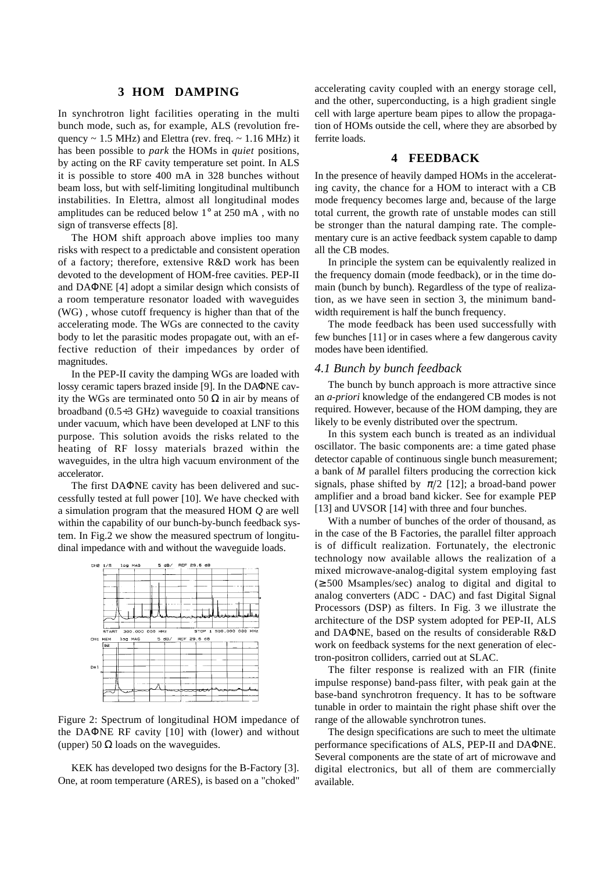## **3 HOM DAMPING**

In synchrotron light facilities operating in the multi bunch mode, such as, for example, ALS (revolution frequency  $\sim 1.5$  MHz) and Elettra (rev. freq.  $\sim 1.16$  MHz) it has been possible to *park* the HOMs in *quiet* positions, by acting on the RF cavity temperature set point. In ALS it is possible to store 400 mA in 328 bunches without beam loss, but with self-limiting longitudinal multibunch instabilities. In Elettra, almost all longitudinal modes amplitudes can be reduced below 1° at 250 mA , with no sign of transverse effects [8].

The HOM shift approach above implies too many risks with respect to a predictable and consistent operation of a factory; therefore, extensive R&D work has been devoted to the development of HOM-free cavities. PEP-II and DAΦNE [4] adopt a similar design which consists of a room temperature resonator loaded with waveguides (WG) , whose cutoff frequency is higher than that of the accelerating mode. The WGs are connected to the cavity body to let the parasitic modes propagate out, with an effective reduction of their impedances by order of magnitudes.

In the PEP-II cavity the damping WGs are loaded with lossy ceramic tapers brazed inside [9]. In the DAΦNE cavity the WGs are terminated onto 50  $\Omega$  in air by means of broadband (0.5÷3 GHz) waveguide to coaxial transitions under vacuum, which have been developed at LNF to this purpose. This solution avoids the risks related to the heating of RF lossy materials brazed within the waveguides, in the ultra high vacuum environment of the accelerator.

The first DAΦNE cavity has been delivered and successfully tested at full power [10]. We have checked with a simulation program that the measured HOM *Q* are well within the capability of our bunch-by-bunch feedback system. In Fig.2 we show the measured spectrum of longitudinal impedance with and without the waveguide loads.



Figure 2: Spectrum of longitudinal HOM impedance of the DAΦNE RF cavity [10] with (lower) and without (upper) 50  $\Omega$  loads on the waveguides.

KEK has developed two designs for the B-Factory [3]. One, at room temperature (ARES), is based on a "choked" accelerating cavity coupled with an energy storage cell, and the other, superconducting, is a high gradient single cell with large aperture beam pipes to allow the propagation of HOMs outside the cell, where they are absorbed by ferrite loads.

## **4 FEEDBACK**

In the presence of heavily damped HOMs in the accelerating cavity, the chance for a HOM to interact with a CB mode frequency becomes large and, because of the large total current, the growth rate of unstable modes can still be stronger than the natural damping rate. The complementary cure is an active feedback system capable to damp all the CB modes.

In principle the system can be equivalently realized in the frequency domain (mode feedback), or in the time domain (bunch by bunch). Regardless of the type of realization, as we have seen in section 3, the minimum bandwidth requirement is half the bunch frequency.

The mode feedback has been used successfully with few bunches [11] or in cases where a few dangerous cavity modes have been identified.

### *4.1 Bunch by bunch feedback*

The bunch by bunch approach is more attractive since an *a-priori* knowledge of the endangered CB modes is not required. However, because of the HOM damping, they are likely to be evenly distributed over the spectrum.

In this system each bunch is treated as an individual oscillator. The basic components are: a time gated phase detector capable of continuous single bunch measurement; a bank of *M* parallel filters producing the correction kick signals, phase shifted by  $\pi/2$  [12]; a broad-band power amplifier and a broad band kicker. See for example PEP [13] and UVSOR [14] with three and four bunches.

With a number of bunches of the order of thousand, as in the case of the B Factories, the parallel filter approach is of difficult realization. Fortunately, the electronic technology now available allows the realization of a mixed microwave-analog-digital system employing fast (≥ 500 Msamples/sec) analog to digital and digital to analog converters (ADC - DAC) and fast Digital Signal Processors (DSP) as filters. In Fig. 3 we illustrate the architecture of the DSP system adopted for PEP-II, ALS and DAΦNE, based on the results of considerable R&D work on feedback systems for the next generation of electron-positron colliders, carried out at SLAC.

The filter response is realized with an FIR (finite impulse response) band-pass filter, with peak gain at the base-band synchrotron frequency. It has to be software tunable in order to maintain the right phase shift over the range of the allowable synchrotron tunes.

The design specifications are such to meet the ultimate performance specifications of ALS, PEP-II and DAΦNE. Several components are the state of art of microwave and digital electronics, but all of them are commercially available.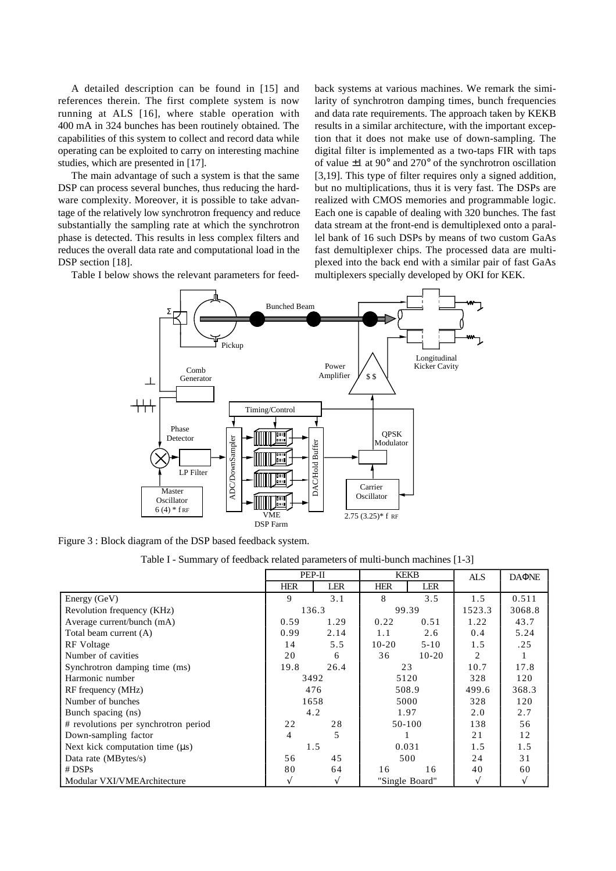A detailed description can be found in [15] and references therein. The first complete system is now running at ALS [16], where stable operation with 400 mA in 324 bunches has been routinely obtained. The capabilities of this system to collect and record data while operating can be exploited to carry on interesting machine studies, which are presented in [17].

The main advantage of such a system is that the same DSP can process several bunches, thus reducing the hardware complexity. Moreover, it is possible to take advantage of the relatively low synchrotron frequency and reduce substantially the sampling rate at which the synchrotron phase is detected. This results in less complex filters and reduces the overall data rate and computational load in the DSP section [18].

Table I below shows the relevant parameters for feed-

back systems at various machines. We remark the similarity of synchrotron damping times, bunch frequencies and data rate requirements. The approach taken by KEKB results in a similar architecture, with the important exception that it does not make use of down-sampling. The digital filter is implemented as a two-taps FIR with taps of value ±1 at 90° and 270° of the synchrotron oscillation [3,19]. This type of filter requires only a signed addition, but no multiplications, thus it is very fast. The DSPs are realized with CMOS memories and programmable logic. Each one is capable of dealing with 320 bunches. The fast data stream at the front-end is demultiplexed onto a parallel bank of 16 such DSPs by means of two custom GaAs fast demultiplexer chips. The processed data are multiplexed into the back end with a similar pair of fast GaAs multiplexers specially developed by OKI for KEK.



Figure 3 : Block diagram of the DSP based feedback system.

Table I - Summary of feedback related parameters of multi-bunch machines [1-3]

|                                      | PEP-II     |      | <b>KEKB</b>    |            | <b>ALS</b> | <b>DAONE</b> |
|--------------------------------------|------------|------|----------------|------------|------------|--------------|
|                                      | <b>HER</b> | LER  | <b>HER</b>     | <b>LER</b> |            |              |
| Energy (GeV)                         | Q.         | 3.1  | 8              | 3.5        | 1.5        | 0.511        |
| Revolution frequency (KHz)           | 136.3      |      | 99.39          |            | 1523.3     | 3068.8       |
| Average current/bunch (mA)           | 0.59       | 1.29 | 0.22           | 0.51       | 1.22       | 43.7         |
| Total beam current (A)               | 0.99       | 2.14 | 1.1            | 2.6        | 0.4        | 5.24         |
| RF Voltage                           | 14         | 5.5  | $10-20$        | $5 - 10$   | 1.5        | .25          |
| Number of cavities                   | 20         | 6    | 36             | $10 - 20$  | 2          |              |
| Synchrotron damping time (ms)        | 19.8       | 26.4 | 23             |            | 10.7       | 17.8         |
| Harmonic number                      | 3492       |      | 5120           |            | 328        | 120          |
| RF frequency (MHz)                   | 476        |      | 508.9          |            | 499.6      | 368.3        |
| Number of bunches                    | 1658       |      | 5000           |            | 328        | 120          |
| Bunch spacing (ns)                   | 4.2        |      | 1.97           |            | 2.0        | 2.7          |
| # revolutions per synchrotron period | 22         | 28   | 50-100         |            | 138        | 56           |
| Down-sampling factor                 | 4          | 5    |                |            | 21         | 12           |
| Next kick computation time $(\mu s)$ | 1.5        |      | 0.031          |            | 1.5        | 1.5          |
| Data rate (MBytes/s)                 | 56         | 45   | 500            |            | 24         | 31           |
| $#$ DSPs                             | 80         | 64   | 16             | 16         | 40         | 60           |
| Modular VXI/VMEArchitecture          | ٦l         | V    | "Single Board" |            | V          | N            |